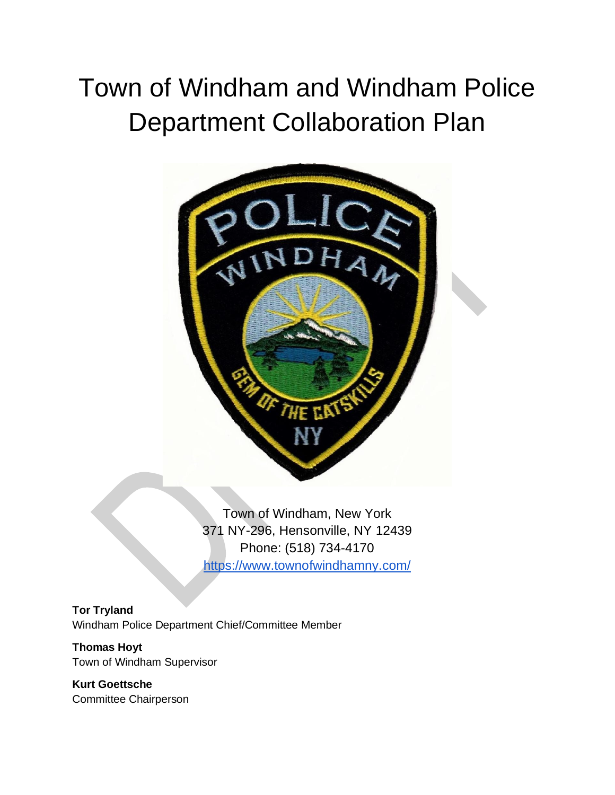# Town of Windham and Windham Police Department Collaboration Plan



Town of Windham, New York 371 NY-296, Hensonville, NY 12439 Phone: (518) 734-4170 <https://www.townofwindhamny.com/>

#### **Tor Tryland**

Windham Police Department Chief/Committee Member

#### **Thomas Hoyt** Town of Windham Supervisor

**Kurt Goettsche** Committee Chairperson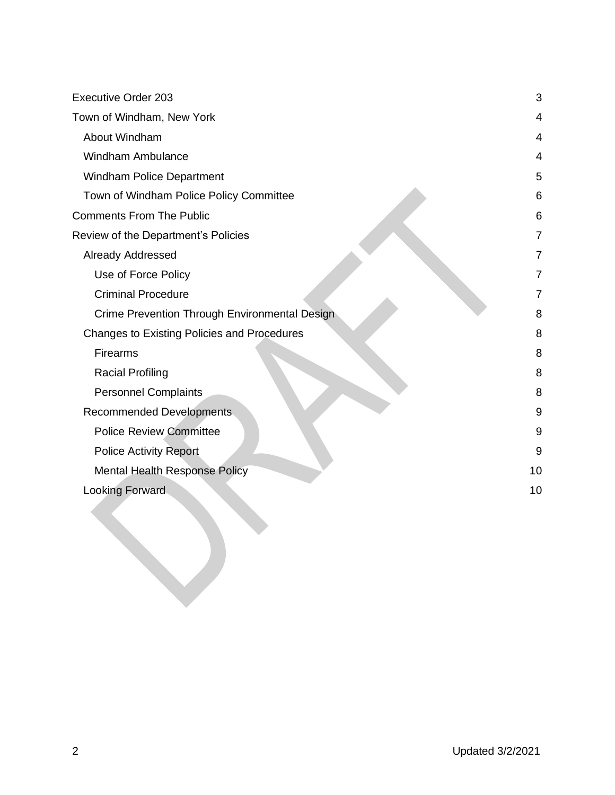| <b>Executive Order 203</b>                    | 3              |
|-----------------------------------------------|----------------|
| Town of Windham, New York                     | 4              |
| About Windham                                 | $\overline{4}$ |
| <b>Windham Ambulance</b>                      | 4              |
| Windham Police Department                     | 5              |
| Town of Windham Police Policy Committee       | 6              |
| <b>Comments From The Public</b>               | 6              |
| Review of the Department's Policies           | 7              |
| Already Addressed                             | 7              |
| Use of Force Policy                           | 7              |
| <b>Criminal Procedure</b>                     | $\overline{7}$ |
| Crime Prevention Through Environmental Design | 8              |
| Changes to Existing Policies and Procedures   | 8              |
| Firearms                                      | 8              |
| <b>Racial Profiling</b>                       | 8              |
| <b>Personnel Complaints</b>                   | 8              |
| Recommended Developments.                     | 9              |
| <b>Police Review Committee</b>                | 9              |
| <b>Police Activity Report</b>                 | 9              |
| <b>Mental Health Response Policy</b>          | 10             |
| <b>Looking Forward</b>                        | 10             |
|                                               |                |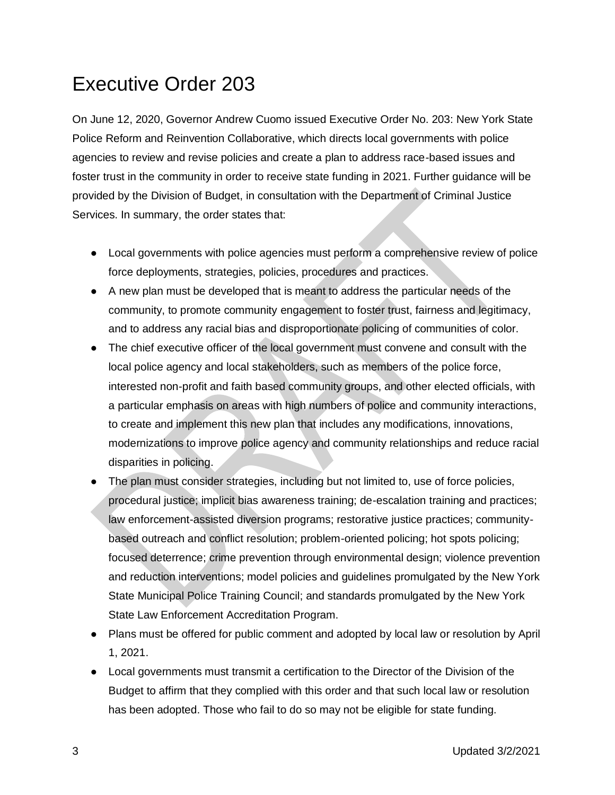## <span id="page-2-0"></span>Executive Order 203

On June 12, 2020, Governor Andrew Cuomo issued Executive Order No. 203: New York State Police Reform and Reinvention Collaborative, which directs local governments with police agencies to review and revise policies and create a plan to address race-based issues and foster trust in the community in order to receive state funding in 2021. Further guidance will be provided by the Division of Budget, in consultation with the Department of Criminal Justice Services. In summary, the order states that:

- Local governments with police agencies must perform a comprehensive review of police force deployments, strategies, policies, procedures and practices.
- A new plan must be developed that is meant to address the particular needs of the community, to promote community engagement to foster trust, fairness and legitimacy, and to address any racial bias and disproportionate policing of communities of color.
- The chief executive officer of the local government must convene and consult with the local police agency and local stakeholders, such as members of the police force, interested non-profit and faith based community groups, and other elected officials, with a particular emphasis on areas with high numbers of police and community interactions, to create and implement this new plan that includes any modifications, innovations, modernizations to improve police agency and community relationships and reduce racial disparities in policing.
- The plan must consider strategies, including but not limited to, use of force policies, procedural justice; implicit bias awareness training; de-escalation training and practices; law enforcement-assisted diversion programs; restorative justice practices; communitybased outreach and conflict resolution; problem-oriented policing; hot spots policing; focused deterrence; crime prevention through environmental design; violence prevention and reduction interventions; model policies and guidelines promulgated by the New York State Municipal Police Training Council; and standards promulgated by the New York State Law Enforcement Accreditation Program.
- Plans must be offered for public comment and adopted by local law or resolution by April 1, 2021.
- Local governments must transmit a certification to the Director of the Division of the Budget to affirm that they complied with this order and that such local law or resolution has been adopted. Those who fail to do so may not be eligible for state funding.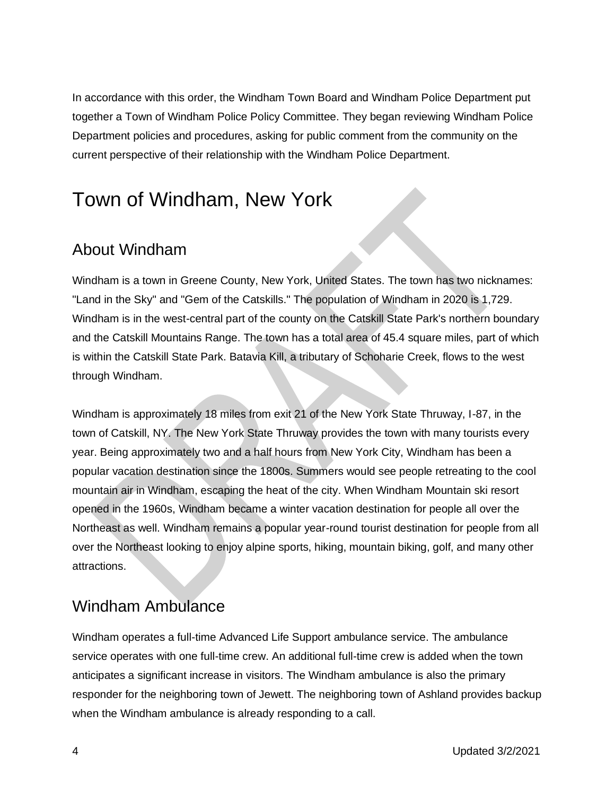In accordance with this order, the Windham Town Board and Windham Police Department put together a Town of Windham Police Policy Committee. They began reviewing Windham Police Department policies and procedures, asking for public comment from the community on the current perspective of their relationship with the Windham Police Department.

## <span id="page-3-0"></span>Town of Windham, New York

## <span id="page-3-1"></span>About Windham

Windham is a town in Greene County, New York, United States. The town has two nicknames: "Land in the Sky" and "Gem of the Catskills." The population of Windham in 2020 is 1,729. Windham is in the west-central part of the county on the Catskill State Park's northern boundary and the Catskill Mountains Range. The town has a total area of 45.4 square miles, part of which is within the Catskill State Park. Batavia Kill, a tributary of Schoharie Creek, flows to the west through Windham.

Windham is approximately 18 miles from exit 21 of the New York State Thruway, I-87, in the town of Catskill, NY. The New York State Thruway provides the town with many tourists every year. Being approximately two and a half hours from New York City, Windham has been a popular vacation destination since the 1800s. Summers would see people retreating to the cool mountain air in Windham, escaping the heat of the city. When Windham Mountain ski resort opened in the 1960s, Windham became a winter vacation destination for people all over the Northeast as well. Windham remains a popular year-round tourist destination for people from all over the Northeast looking to enjoy alpine sports, hiking, mountain biking, golf, and many other attractions.

### <span id="page-3-2"></span>Windham Ambulance

Windham operates a full-time Advanced Life Support ambulance service. The ambulance service operates with one full-time crew. An additional full-time crew is added when the town anticipates a significant increase in visitors. The Windham ambulance is also the primary responder for the neighboring town of Jewett. The neighboring town of Ashland provides backup when the Windham ambulance is already responding to a call.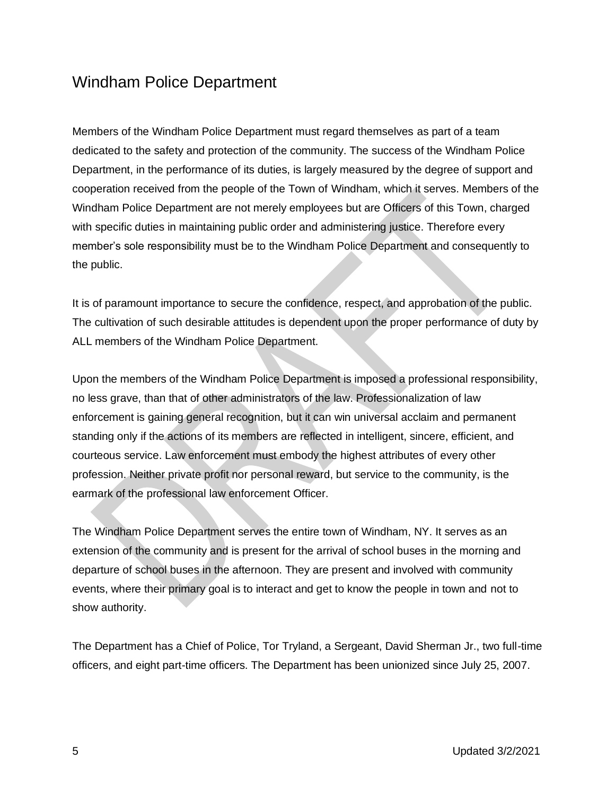### <span id="page-4-0"></span>Windham Police Department

Members of the Windham Police Department must regard themselves as part of a team dedicated to the safety and protection of the community. The success of the Windham Police Department, in the performance of its duties, is largely measured by the degree of support and cooperation received from the people of the Town of Windham, which it serves. Members of the Windham Police Department are not merely employees but are Officers of this Town, charged with specific duties in maintaining public order and administering justice. Therefore every member's sole responsibility must be to the Windham Police Department and consequently to the public.

It is of paramount importance to secure the confidence, respect, and approbation of the public. The cultivation of such desirable attitudes is dependent upon the proper performance of duty by ALL members of the Windham Police Department.

Upon the members of the Windham Police Department is imposed a professional responsibility, no less grave, than that of other administrators of the law. Professionalization of law enforcement is gaining general recognition, but it can win universal acclaim and permanent standing only if the actions of its members are reflected in intelligent, sincere, efficient, and courteous service. Law enforcement must embody the highest attributes of every other profession. Neither private profit nor personal reward, but service to the community, is the earmark of the professional law enforcement Officer.

The Windham Police Department serves the entire town of Windham, NY. It serves as an extension of the community and is present for the arrival of school buses in the morning and departure of school buses in the afternoon. They are present and involved with community events, where their primary goal is to interact and get to know the people in town and not to show authority.

The Department has a Chief of Police, Tor Tryland, a Sergeant, David Sherman Jr., two full-time officers, and eight part-time officers. The Department has been unionized since July 25, 2007.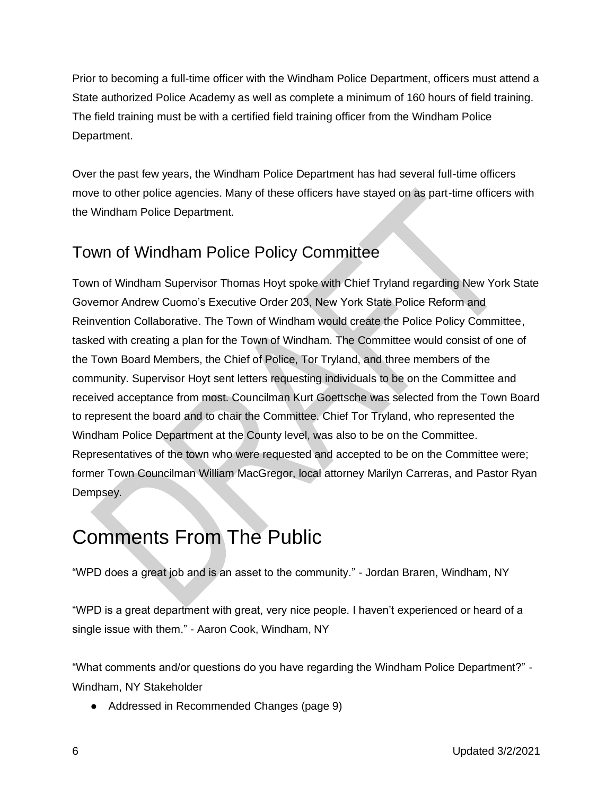Prior to becoming a full-time officer with the Windham Police Department, officers must attend a State authorized Police Academy as well as complete a minimum of 160 hours of field training. The field training must be with a certified field training officer from the Windham Police Department.

Over the past few years, the Windham Police Department has had several full-time officers move to other police agencies. Many of these officers have stayed on as part-time officers with the Windham Police Department.

## <span id="page-5-0"></span>Town of Windham Police Policy Committee

Town of Windham Supervisor Thomas Hoyt spoke with Chief Tryland regarding New York State Governor Andrew Cuomo's Executive Order 203, New York State Police Reform and Reinvention Collaborative. The Town of Windham would create the Police Policy Committee, tasked with creating a plan for the Town of Windham. The Committee would consist of one of the Town Board Members, the Chief of Police, Tor Tryland, and three members of the community. Supervisor Hoyt sent letters requesting individuals to be on the Committee and received acceptance from most. Councilman Kurt Goettsche was selected from the Town Board to represent the board and to chair the Committee. Chief Tor Tryland, who represented the Windham Police Department at the County level, was also to be on the Committee. Representatives of the town who were requested and accepted to be on the Committee were; former Town Councilman William MacGregor, local attorney Marilyn Carreras, and Pastor Ryan Dempsey.

## <span id="page-5-1"></span>Comments From The Public

"WPD does a great job and is an asset to the community." - Jordan Braren, Windham, NY

"WPD is a great department with great, very nice people. I haven't experienced or heard of a single issue with them." - Aaron Cook, Windham, NY

"What comments and/or questions do you have regarding the Windham Police Department?" - Windham, NY Stakeholder

● Addressed in Recommended Changes (page 9)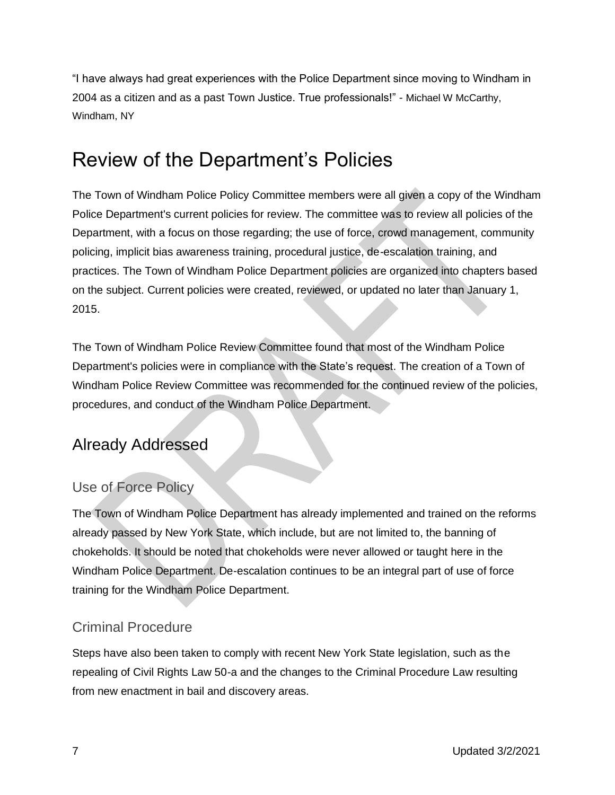"I have always had great experiences with the Police Department since moving to Windham in 2004 as a citizen and as a past Town Justice. True professionals!" - Michael W McCarthy, Windham, NY

## <span id="page-6-0"></span>Review of the Department's Policies

The Town of Windham Police Policy Committee members were all given a copy of the Windham Police Department's current policies for review. The committee was to review all policies of the Department, with a focus on those regarding; the use of force, crowd management, community policing, implicit bias awareness training, procedural justice, de-escalation training, and practices. The Town of Windham Police Department policies are organized into chapters based on the subject. Current policies were created, reviewed, or updated no later than January 1, 2015.

The Town of Windham Police Review Committee found that most of the Windham Police Department's policies were in compliance with the State's request. The creation of a Town of Windham Police Review Committee was recommended for the continued review of the policies, procedures, and conduct of the Windham Police Department.

## <span id="page-6-1"></span>Already Addressed

#### <span id="page-6-2"></span>Use of Force Policy

The Town of Windham Police Department has already implemented and trained on the reforms already passed by New York State, which include, but are not limited to, the banning of chokeholds. It should be noted that chokeholds were never allowed or taught here in the Windham Police Department. De-escalation continues to be an integral part of use of force training for the Windham Police Department.

#### <span id="page-6-3"></span>Criminal Procedure

Steps have also been taken to comply with recent New York State legislation, such as the repealing of Civil Rights Law 50-a and the changes to the Criminal Procedure Law resulting from new enactment in bail and discovery areas.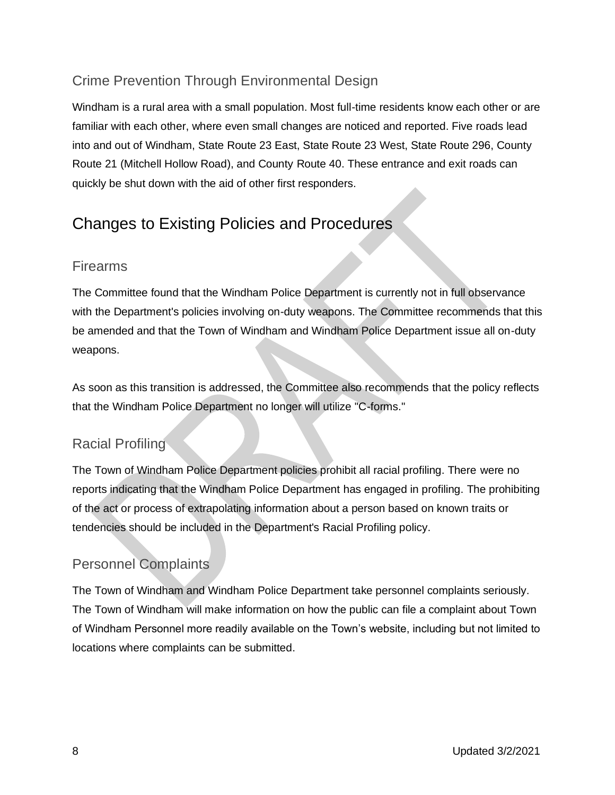#### <span id="page-7-0"></span>Crime Prevention Through Environmental Design

Windham is a rural area with a small population. Most full-time residents know each other or are familiar with each other, where even small changes are noticed and reported. Five roads lead into and out of Windham, State Route 23 East, State Route 23 West, State Route 296, County Route 21 (Mitchell Hollow Road), and County Route 40. These entrance and exit roads can quickly be shut down with the aid of other first responders.

### <span id="page-7-1"></span>Changes to Existing Policies and Procedures

#### <span id="page-7-2"></span>Firearms

The Committee found that the Windham Police Department is currently not in full observance with the Department's policies involving on-duty weapons. The Committee recommends that this be amended and that the Town of Windham and Windham Police Department issue all on-duty weapons.

As soon as this transition is addressed, the Committee also recommends that the policy reflects that the Windham Police Department no longer will utilize "C-forms."

#### <span id="page-7-3"></span>Racial Profiling

The Town of Windham Police Department policies prohibit all racial profiling. There were no reports indicating that the Windham Police Department has engaged in profiling. The prohibiting of the act or process of extrapolating information about a person based on known traits or tendencies should be included in the Department's Racial Profiling policy.

#### <span id="page-7-4"></span>Personnel Complaints

The Town of Windham and Windham Police Department take personnel complaints seriously. The Town of Windham will make information on how the public can file a complaint about Town of Windham Personnel more readily available on the Town's website, including but not limited to locations where complaints can be submitted.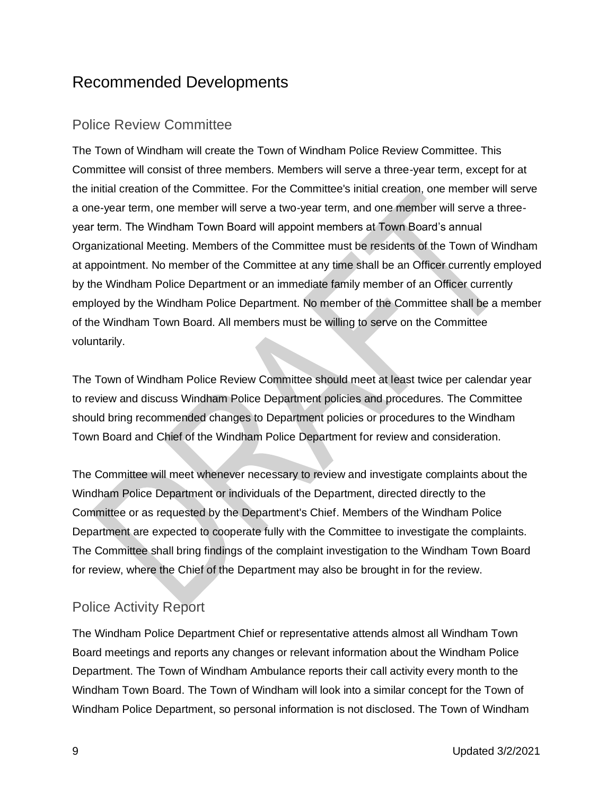### <span id="page-8-0"></span>Recommended Developments

#### <span id="page-8-1"></span>Police Review Committee

The Town of Windham will create the Town of Windham Police Review Committee. This Committee will consist of three members. Members will serve a three-year term, except for at the initial creation of the Committee. For the Committee's initial creation, one member will serve a one-year term, one member will serve a two-year term, and one member will serve a threeyear term. The Windham Town Board will appoint members at Town Board's annual Organizational Meeting. Members of the Committee must be residents of the Town of Windham at appointment. No member of the Committee at any time shall be an Officer currently employed by the Windham Police Department or an immediate family member of an Officer currently employed by the Windham Police Department. No member of the Committee shall be a member of the Windham Town Board. All members must be willing to serve on the Committee voluntarily.

The Town of Windham Police Review Committee should meet at least twice per calendar year to review and discuss Windham Police Department policies and procedures. The Committee should bring recommended changes to Department policies or procedures to the Windham Town Board and Chief of the Windham Police Department for review and consideration.

The Committee will meet whenever necessary to review and investigate complaints about the Windham Police Department or individuals of the Department, directed directly to the Committee or as requested by the Department's Chief. Members of the Windham Police Department are expected to cooperate fully with the Committee to investigate the complaints. The Committee shall bring findings of the complaint investigation to the Windham Town Board for review, where the Chief of the Department may also be brought in for the review.

#### <span id="page-8-2"></span>Police Activity Report

The Windham Police Department Chief or representative attends almost all Windham Town Board meetings and reports any changes or relevant information about the Windham Police Department. The Town of Windham Ambulance reports their call activity every month to the Windham Town Board. The Town of Windham will look into a similar concept for the Town of Windham Police Department, so personal information is not disclosed. The Town of Windham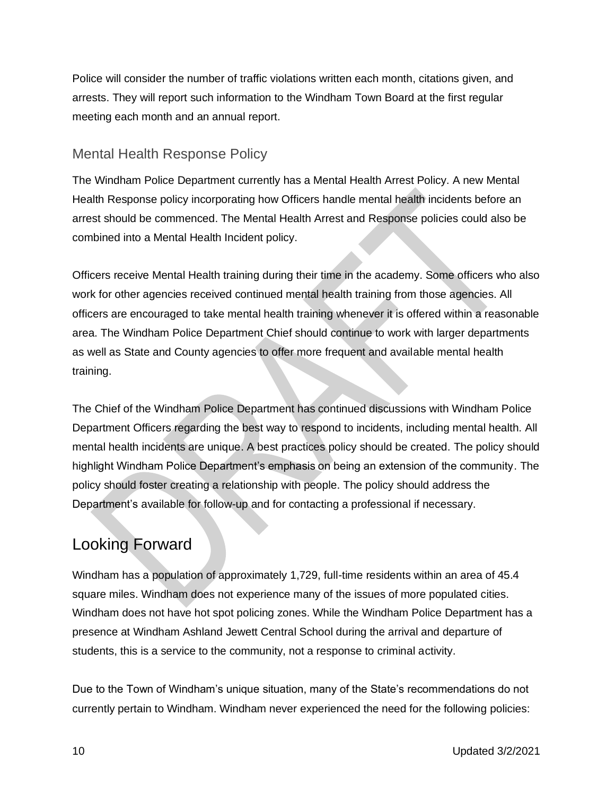Police will consider the number of traffic violations written each month, citations given, and arrests. They will report such information to the Windham Town Board at the first regular meeting each month and an annual report.

#### <span id="page-9-0"></span>Mental Health Response Policy

The Windham Police Department currently has a Mental Health Arrest Policy. A new Mental Health Response policy incorporating how Officers handle mental health incidents before an arrest should be commenced. The Mental Health Arrest and Response policies could also be combined into a Mental Health Incident policy.

Officers receive Mental Health training during their time in the academy. Some officers who also work for other agencies received continued mental health training from those agencies. All officers are encouraged to take mental health training whenever it is offered within a reasonable area. The Windham Police Department Chief should continue to work with larger departments as well as State and County agencies to offer more frequent and available mental health training.

The Chief of the Windham Police Department has continued discussions with Windham Police Department Officers regarding the best way to respond to incidents, including mental health. All mental health incidents are unique. A best practices policy should be created. The policy should highlight Windham Police Department's emphasis on being an extension of the community. The policy should foster creating a relationship with people. The policy should address the Department's available for follow-up and for contacting a professional if necessary.

## <span id="page-9-1"></span>Looking Forward

Windham has a population of approximately 1,729, full-time residents within an area of 45.4 square miles. Windham does not experience many of the issues of more populated cities. Windham does not have hot spot policing zones. While the Windham Police Department has a presence at Windham Ashland Jewett Central School during the arrival and departure of students, this is a service to the community, not a response to criminal activity.

Due to the Town of Windham's unique situation, many of the State's recommendations do not currently pertain to Windham. Windham never experienced the need for the following policies: